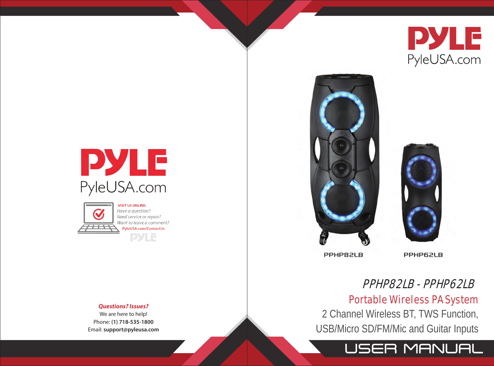





Have a question? Need service or repair? Want to leave a comment? PyleUSA.com/ContactUs **PYLE** 

#### *Questions? Issues?*

We are here to help! Phone: **(1) 718-535-1800** Email: **support@pyleusa.com**





**PPHP82LB** 

**PPHP62LB** 

# PPHP82LB - PPHP62LB

# Portable Wireless PA System

2 Channel Wireless BT, TWS Function, USB/Micro SD/FM/Mic and Guitar Inputs

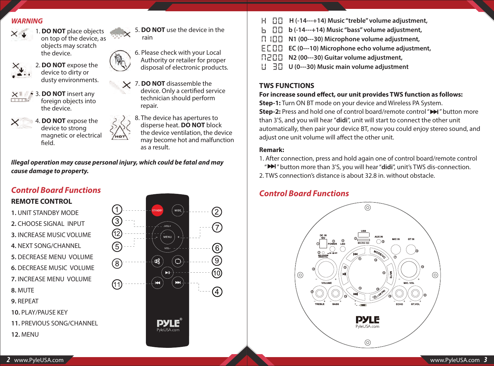### *WARNING*



1. **DO NOT** place objects on top of the device, as objects may scratch the device.



2. **DO NOT** expose the device to dirty or dusty environments.



- 3. **DO NOT** insert any foreign objects into the device.
- 4. **DO NOT** expose the device to strong magnetic or electrical field.





6. Please check with your Local Authority or retailer for proper disposal of electronic products.

- 7. **DO NOT** disassemble the device. Only a certified service technician should perform repair.
	- 8. The device has apertures to disperse heat. **DO NOT** block the device ventilation, the device may become hot and malfunction as a result.

*Illegal operation may cause personal injury, which could be fatal and may cause damage to property.*

# *Control Board Functions*

# **REMOTE CONTROL**

- **1.** UNIT STANDBY MODE **2.** CHOOSE SIGNAL INPUT **3.** INCREASE MUSIC VOLUME
- **4.** NEXT SONG/CHANNEL
- **5.** DECREASE MENU VOLUME
- **6.** DECREASE MUSIC VOLUME
- **7.** INCREASE MENU VOLUME
- **8.** MUTE
- **9.** REPEAT
- **10.** PLAY/PAUSE KEY
- **11.** PREVIOUS SONG/CHANNEL
- **12.** MENU



- **H (-14---+14) Music "treble" volume adjustment,**
- **b (-14---+14) Music "bass" volume adjustment,**
- **N1 (00---30) Microphone volume adjustment,**
- **EC (0---10) Microphone echo volume adjustment,**
- **R200 N2 (00---30) Guitar volume adjustment,**
- **HIU (0---30) Music main volume adjustment**

# **TWS FUNCTIONS**

### For increase sound effect, our unit provides TWS function as follows:

**Step-1:** Turn ON BT mode on your device and Wireless PA System. **Step-2:** Press and hold one of control board/remote control " $\blacktriangleright$  " button more than 3'S, and you will hear "**didi**", unit will start to connect the other unit automatically, then pair your device BT, now you could enjoy stereo sound, and adjust one unit volume will affect the other unit.

#### **Remark:**

- 1. After connection, press and hold again one of control board/remote control " " button more than 3'S, you will hear "**didi**", unit's TWS dis-connection.
- 2. TWS connection's distance is about 32.8 in. without obstacle.

# *Control Board Functions*